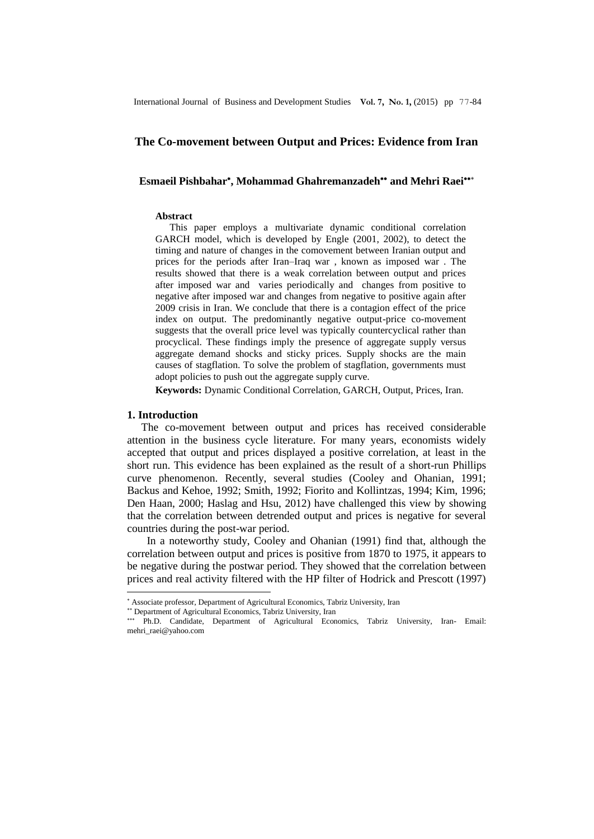# **The Co-movement between Output and Prices: Evidence from Iran**

# Esmaeil Pishbahar<sup>\*</sup>, Mohammad Ghahremanzadeh<sup>\*\*</sup> and Mehri Raei<sup>\*\*\*</sup>

### **Abstract**

This paper employs a multivariate dynamic conditional correlation GARCH model, which is developed by Engle (2001, 2002), to detect the timing and nature of changes in the comovement between Iranian output and prices for the periods after Iran–Iraq war , known as imposed war . The results showed that there is a weak correlation between output and prices after imposed war and varies periodically and changes from positive to negative after imposed war and changes from negative to positive again after 2009 crisis in Iran. We conclude that there is a contagion effect of the price index on output. The predominantly negative output-price co-movement suggests that the overall price level was typically countercyclical rather than procyclical. These findings imply the presence of aggregate supply versus aggregate demand shocks and sticky prices. Supply shocks are the main causes of stagflation. To solve the problem of stagflation, governments must adopt policies to push out the aggregate supply curve.

**Keywords:** Dynamic Conditional Correlation, GARCH, Output, Prices, Iran.

## **1. Introduction**

1

The co-movement between output and prices has received considerable attention in the business cycle literature. For many years, economists widely accepted that output and prices displayed a positive correlation, at least in the short run. This evidence has been explained as the result of a short-run Phillips curve phenomenon. Recently, several studies (Cooley and Ohanian, 1991; Backus and Kehoe, 1992; Smith, 1992; Fiorito and Kollintzas, 1994; Kim, 1996; Den Haan, 2000; Haslag and Hsu, 2012) have challenged this view by showing that the correlation between detrended output and prices is negative for several countries during the post-war period.

In a noteworthy study, Cooley and Ohanian (1991) find that, although the correlation between output and prices is positive from 1870 to 1975, it appears to be negative during the postwar period. They showed that the correlation between prices and real activity filtered with the HP filter of Hodrick and Prescott (1997)

Associate professor, Department of Agricultural Economics, Tabriz University, Iran

Department of Agricultural Economics, Tabriz University, Iran

Ph.D. Candidate, Department of Agricultural Economics, Tabriz University, Iran- Email: mehri\_raei@yahoo.com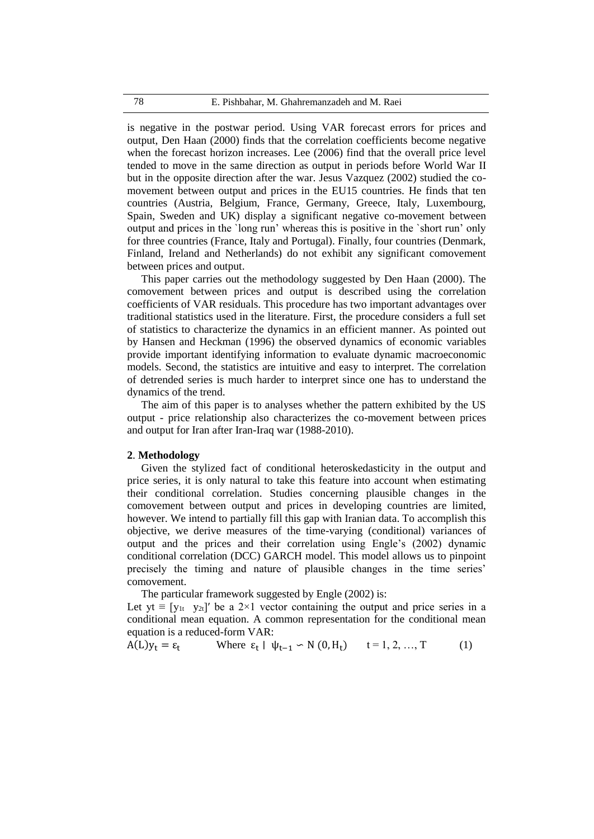is negative in the postwar period. Using VAR forecast errors for prices and output, Den Haan (2000) finds that the correlation coefficients become negative when the forecast horizon increases. Lee (2006) find that the overall price level tended to move in the same direction as output in periods before World War II but in the opposite direction after the war. Jesus Vazquez (2002) studied the comovement between output and prices in the EU15 countries. He finds that ten countries (Austria, Belgium, France, Germany, Greece, Italy, Luxembourg, Spain, Sweden and UK) display a significant negative co-movement between output and prices in the `long run' whereas this is positive in the `short run' only for three countries (France, Italy and Portugal). Finally, four countries (Denmark, Finland, Ireland and Netherlands) do not exhibit any significant comovement between prices and output.

This paper carries out the methodology suggested by Den Haan (2000). The comovement between prices and output is described using the correlation coefficients of VAR residuals. This procedure has two important advantages over traditional statistics used in the literature. First, the procedure considers a full set of statistics to characterize the dynamics in an efficient manner. As pointed out by Hansen and Heckman (1996) the observed dynamics of economic variables provide important identifying information to evaluate dynamic macroeconomic models. Second, the statistics are intuitive and easy to interpret. The correlation of detrended series is much harder to interpret since one has to understand the dynamics of the trend.

The aim of this paper is to analyses whether the pattern exhibited by the US output - price relationship also characterizes the co-movement between prices and output for Iran after Iran-Iraq war (1988-2010).

# **2**. **Methodology**

Given the stylized fact of conditional heteroskedasticity in the output and price series, it is only natural to take this feature into account when estimating their conditional correlation. Studies concerning plausible changes in the comovement between output and prices in developing countries are limited, however. We intend to partially fill this gap with Iranian data. To accomplish this objective, we derive measures of the time-varying (conditional) variances of output and the prices and their correlation using Engle's (2002) dynamic conditional correlation (DCC) GARCH model. This model allows us to pinpoint precisely the timing and nature of plausible changes in the time series' comovement.

The particular framework suggested by Engle (2002) is:

Let yt  $\equiv$  [y<sub>1t</sub> y<sub>2t</sub>]′ be a 2×1 vector containing the output and price series in a conditional mean equation. A common representation for the conditional mean equation is a reduced-form VAR:

$$
A(L)y_t = \varepsilon_t \qquad \text{Where } \varepsilon_t \mid \psi_{t-1} \backsim N(0, H_t) \qquad t = 1, 2, ..., T \tag{1}
$$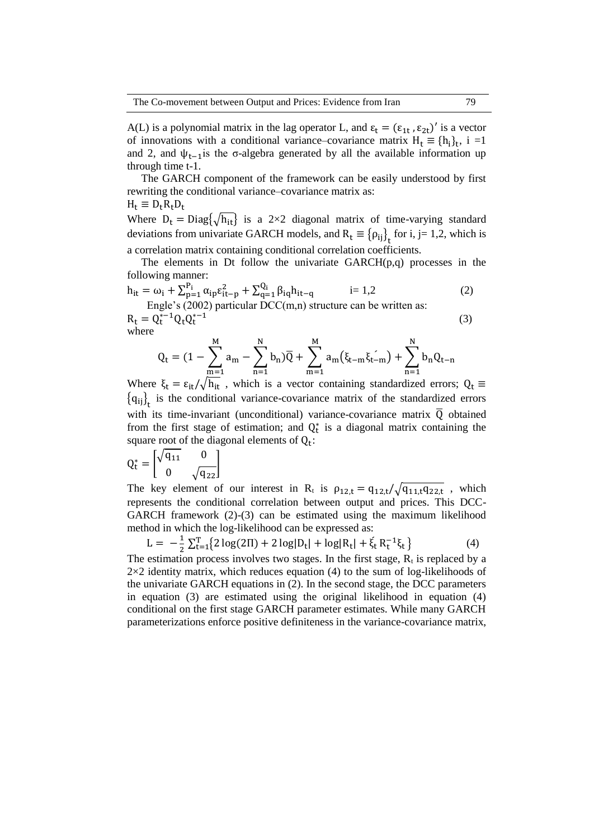A(L) is a polynomial matrix in the lag operator L, and  $\varepsilon_t = (\varepsilon_{1t}, \varepsilon_{2t})'$  is a vector of innovations with a conditional variance–covariance matrix  $H_t \equiv \{h_i\}_t$ , i =1 and 2, and  $\psi_{t-1}$  is the σ-algebra generated by all the available information up through time t-1.

The GARCH component of the framework can be easily understood by first rewriting the conditional variance–covariance matrix as:  $H_t \equiv D_t R_t D_t$ 

Where  $D_t = Diag\{\sqrt{h_{it}}\}$  is a 2×2 diagonal matrix of time-varying standard deviations from univariate GARCH models, and  $R_t \equiv {\rho_{ij}}_t$  for i, j= 1,2, which is a correlation matrix containing conditional correlation coefficients.

The elements in Dt follow the univariate GARCH(p,q) processes in the following manner:

$$
h_{it} = \omega_i + \sum_{p=1}^{P_i} \alpha_{ip} \epsilon_{it-p}^2 + \sum_{q=1}^{Q_i} \beta_{iq} h_{it-q} \qquad i = 1,2
$$
 (2)

Engle's (2002) particular DCC(m,n) structure can be written as:  $R_t = Q_t^{*-1} Q_t Q_t^{*-1}$ (3)

where

$$
Q_{t} = (1 - \sum_{m=1}^{M} a_{m} - \sum_{n=1}^{N} b_{n})\overline{Q} + \sum_{m=1}^{M} a_{m}(\xi_{t-m}\xi_{t-m}) + \sum_{n=1}^{N} b_{n}Q_{t-n}
$$

Where  $\xi_t = \varepsilon_{it}/\sqrt{h_{it}}$ , which is a vector containing standardized errors;  $Q_t \equiv$  ${q_{ij}}_t$  is the conditional variance-covariance matrix of the standardized errors with its time-invariant (unconditional) variance-covariance matrix  $\overline{Q}$  obtained from the first stage of estimation; and  $Q_t^*$  is a diagonal matrix containing the square root of the diagonal elements of  $Q_t$ :

$$
Q_t^* = \begin{bmatrix} \sqrt{q_{11}} & 0 \\ 0 & \sqrt{q_{22}} \end{bmatrix}
$$

The key element of our interest in R<sub>t</sub> is  $\rho_{12,t} = q_{12,t}/\sqrt{q_{11,t}q_{22,t}}$ , which represents the conditional correlation between output and prices. This DCC-GARCH framework (2)-(3) can be estimated using the maximum likelihood method in which the log-likelihood can be expressed as:

$$
L = -\frac{1}{2} \sum_{t=1}^{T} \{ 2 \log(2\Pi) + 2 \log|D_t| + \log|R_t| + \xi_t R_t^{-1} \xi_t \}
$$
(4)

The estimation process involves two stages. In the first stage,  $R_t$  is replaced by a  $2\times2$  identity matrix, which reduces equation (4) to the sum of log-likelihoods of the univariate GARCH equations in (2). In the second stage, the DCC parameters in equation (3) are estimated using the original likelihood in equation (4) conditional on the first stage GARCH parameter estimates. While many GARCH parameterizations enforce positive definiteness in the variance-covariance matrix,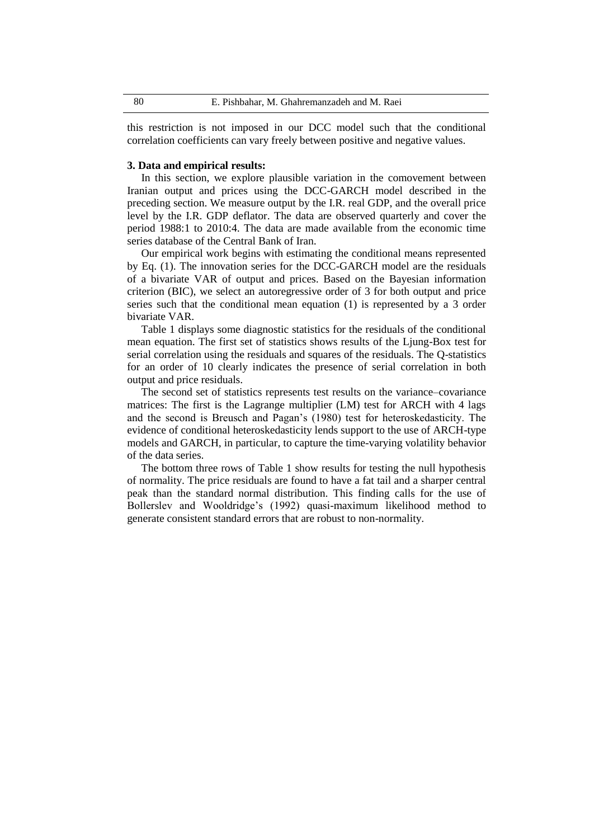this restriction is not imposed in our DCC model such that the conditional correlation coefficients can vary freely between positive and negative values.

#### **3. Data and empirical results:**

In this section, we explore plausible variation in the comovement between Iranian output and prices using the DCC-GARCH model described in the preceding section. We measure output by the I.R. real GDP, and the overall price level by the I.R. GDP deflator. The data are observed quarterly and cover the period 1988:1 to 2010:4. The data are made available from the economic time series database of the Central Bank of Iran.

Our empirical work begins with estimating the conditional means represented by Eq. (1). The innovation series for the DCC-GARCH model are the residuals of a bivariate VAR of output and prices. Based on the Bayesian information criterion (BIC), we select an autoregressive order of 3 for both output and price series such that the conditional mean equation (1) is represented by a 3 order bivariate VAR.

Table 1 displays some diagnostic statistics for the residuals of the conditional mean equation. The first set of statistics shows results of the Ljung-Box test for serial correlation using the residuals and squares of the residuals. The Q-statistics for an order of 10 clearly indicates the presence of serial correlation in both output and price residuals.

The second set of statistics represents test results on the variance–covariance matrices: The first is the Lagrange multiplier (LM) test for ARCH with 4 lags and the second is Breusch and Pagan's (1980) test for heteroskedasticity. The evidence of conditional heteroskedasticity lends support to the use of ARCH-type models and GARCH, in particular, to capture the time-varying volatility behavior of the data series.

The bottom three rows of Table 1 show results for testing the null hypothesis of normality. The price residuals are found to have a fat tail and a sharper central peak than the standard normal distribution. This finding calls for the use of Bollerslev and Wooldridge's (1992) quasi-maximum likelihood method to generate consistent standard errors that are robust to non-normality.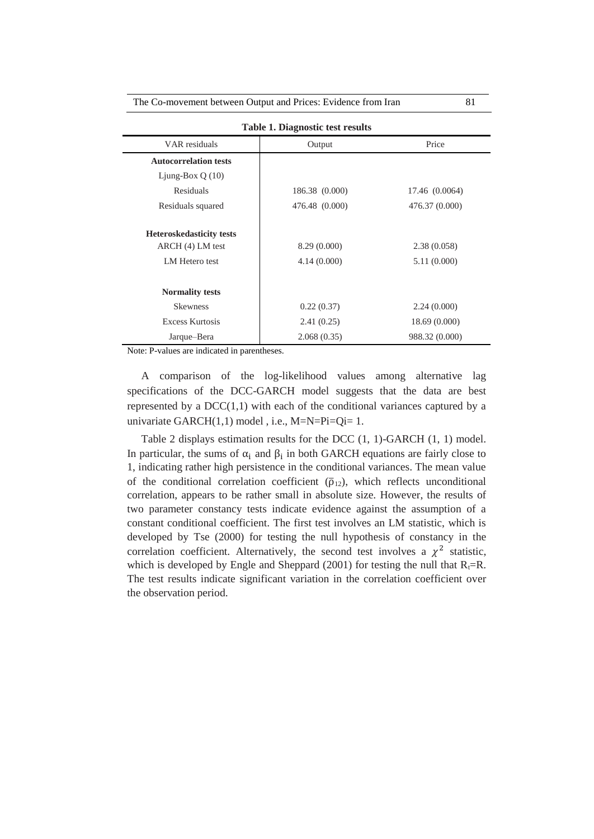| The Co-movement between Output and Prices: Evidence from Iran |  |  |  |
|---------------------------------------------------------------|--|--|--|
|---------------------------------------------------------------|--|--|--|

| <b>Table 1. Diagnostic test results</b> |                |                |  |
|-----------------------------------------|----------------|----------------|--|
| VAR residuals                           | Output         | Price          |  |
| <b>Autocorrelation tests</b>            |                |                |  |
| Ljung-Box $Q(10)$                       |                |                |  |
| Residuals                               | 186.38 (0.000) | 17.46 (0.0064) |  |
| Residuals squared                       | 476.48 (0.000) | 476.37 (0.000) |  |
| <b>Heteroskedasticity tests</b>         |                |                |  |
| ARCH (4) LM test                        | 8.29 (0.000)   | 2.38(0.058)    |  |
| LM Hetero test                          | 4.14(0.000)    | 5.11 (0.000)   |  |
| <b>Normality tests</b>                  |                |                |  |
| <b>Skewness</b>                         | 0.22(0.37)     | 2.24(0.000)    |  |
| <b>Excess Kurtosis</b>                  | 2.41(0.25)     | 18.69 (0.000)  |  |
| Jarque-Bera                             | 2.068(0.35)    | 988.32 (0.000) |  |

Note: P-values are indicated in parentheses.

A comparison of the log-likelihood values among alternative lag specifications of the DCC-GARCH model suggests that the data are best represented by a  $DCC(1,1)$  with each of the conditional variances captured by a univariate GARCH(1,1) model , i.e., M=N=Pi=Qi= 1.

Table 2 displays estimation results for the DCC (1, 1)-GARCH (1, 1) model. In particular, the sums of  $\alpha_i$  and  $\beta_i$  in both GARCH equations are fairly close to 1, indicating rather high persistence in the conditional variances. The mean value of the conditional correlation coefficient ( $\bar{\rho}_{12}$ ), which reflects unconditional correlation, appears to be rather small in absolute size. However, the results of two parameter constancy tests indicate evidence against the assumption of a constant conditional coefficient. The first test involves an LM statistic, which is developed by Tse (2000) for testing the null hypothesis of constancy in the correlation coefficient. Alternatively, the second test involves a  $\chi^2$  statistic, which is developed by Engle and Sheppard (2001) for testing the null that  $R_t=R$ . The test results indicate significant variation in the correlation coefficient over the observation period.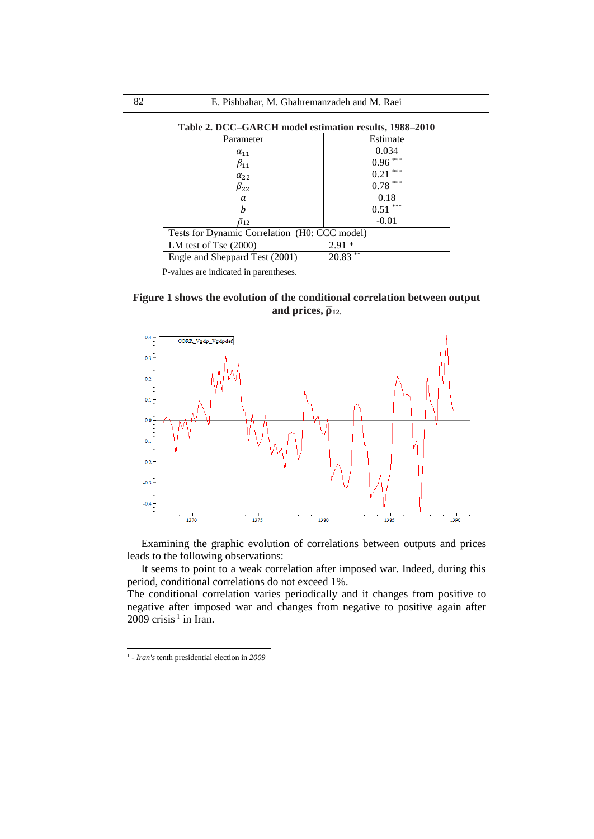| Table 2. DCC-GARCH model estimation results, 1988-2010 |             |  |  |  |
|--------------------------------------------------------|-------------|--|--|--|
| Parameter                                              | Estimate    |  |  |  |
| $\alpha_{11}$                                          | 0.034       |  |  |  |
| $\beta_{11}$                                           | ***<br>0.96 |  |  |  |
| $\alpha_{22}$                                          | ***<br>0.21 |  |  |  |
| $\beta_{22}$                                           | ***<br>0.78 |  |  |  |
| a                                                      | 0.18        |  |  |  |
| h                                                      | ***<br>0.51 |  |  |  |
| $\bar{\rho}_{12}$                                      | $-0.01$     |  |  |  |
| Tests for Dynamic Correlation (H0: CCC model)          |             |  |  |  |
| LM test of Tse $(2000)$                                | $2.91*$     |  |  |  |
| **<br>20.83<br>Engle and Sheppard Test (2001)          |             |  |  |  |

P-values are indicated in parentheses.

**Figure 1 shows the evolution of the conditional correlation between output**  and prices,  $\overline{\rho}_{12}$ .



Examining the graphic evolution of correlations between outputs and prices leads to the following observations:

It seems to point to a weak correlation after imposed war. Indeed, during this period, conditional correlations do not exceed 1%.

The conditional correlation varies periodically and it changes from positive to negative after imposed war and changes from negative to positive again after  $2009$  crisis<sup>1</sup> in Iran.

1

<sup>1</sup> - *Iran's* tenth presidential election in *2009*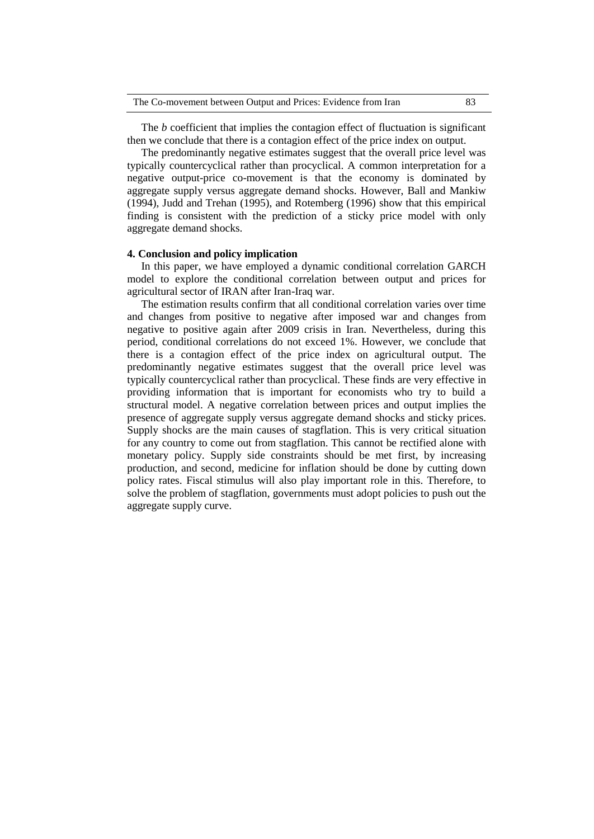The *b* coefficient that implies the contagion effect of fluctuation is significant then we conclude that there is a contagion effect of the price index on output.

The predominantly negative estimates suggest that the overall price level was typically countercyclical rather than procyclical. A common interpretation for a negative output-price co-movement is that the economy is dominated by aggregate supply versus aggregate demand shocks. However, Ball and Mankiw (1994), Judd and Trehan (1995), and Rotemberg (1996) show that this empirical finding is consistent with the prediction of a sticky price model with only aggregate demand shocks.

### **4. Conclusion and policy implication**

In this paper, we have employed a dynamic conditional correlation GARCH model to explore the conditional correlation between output and prices for agricultural sector of IRAN after Iran-Iraq war.

The estimation results confirm that all conditional correlation varies over time and changes from positive to negative after imposed war and changes from negative to positive again after 2009 crisis in Iran. Nevertheless, during this period, conditional correlations do not exceed 1%. However, we conclude that there is a contagion effect of the price index on agricultural output. The predominantly negative estimates suggest that the overall price level was typically countercyclical rather than procyclical. These finds are very effective in providing information that is important for economists who try to build a structural model. A negative correlation between prices and output implies the presence of aggregate supply versus aggregate demand shocks and sticky prices. Supply shocks are the main causes of stagflation. This is very critical situation for any country to come out from stagflation. This cannot be rectified alone with monetary policy. Supply side constraints should be met first, by increasing production, and second, medicine for inflation should be done by cutting down policy rates. Fiscal stimulus will also play important role in this. Therefore, to solve the problem of stagflation, governments must adopt policies to push out the aggregate supply curve.